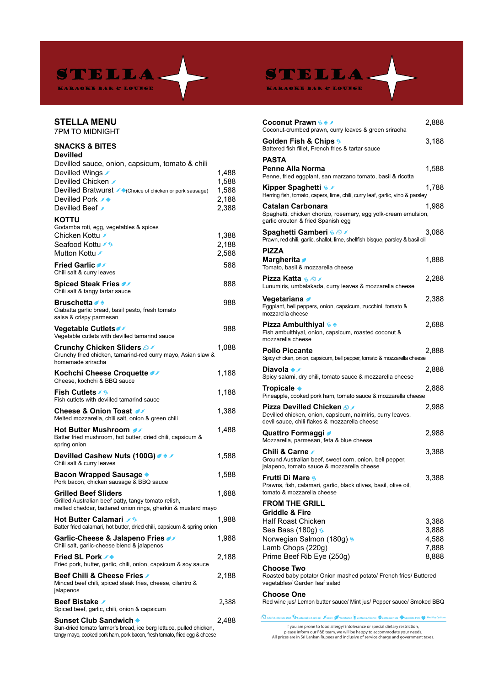

STELLA.

KARAOKE BAR & LOUNGE

## **STELLA MENU**

7PM TO MIDNIGHT

## **SNACKS & BITES Devilled**

| Devilled                                                                           |       |
|------------------------------------------------------------------------------------|-------|
| Devilled sauce, onion, capsicum, tomato & chili                                    |       |
| Devilled Wings ∕                                                                   | 1,488 |
| Devilled Chicken ୵                                                                 | 1,588 |
| Devilled Bratwurst / Choice of chicken or pork sausage)                            | 1,588 |
| Devilled Pork <del>バ</del>                                                         | 2,188 |
| Devilled Beef ∕                                                                    | 2,388 |
|                                                                                    |       |
| <b>KOTTU</b>                                                                       |       |
| Godamba roti, egg, vegetables & spices                                             |       |
| Chicken Kottu ୵                                                                    | 1,388 |
| Seafood Kottu ∕§                                                                   | 2,188 |
| Mutton Kottu                                                                       | 2,588 |
|                                                                                    |       |
| <b>Fried Garlic of</b>                                                             | 588   |
| Chili salt & curry leaves                                                          |       |
| <b>Spiced Steak Fries</b>                                                          | 888   |
| Chili salt & tangy tartar sauce                                                    |       |
| Bruschetta <del>ℐ</del> ≑                                                          | 988   |
| Ciabatta garlic bread, basil pesto, fresh tomato                                   |       |
| salsa & crispy parmesan                                                            |       |
|                                                                                    |       |
| <b>Vegetable Cutlets</b>                                                           | 988   |
| Vegetable cutlets with devilled tamarind sauce                                     |       |
| <b>Crunchy Chicken Sliders A</b>                                                   | 1,088 |
| Crunchy fried chicken, tamarind-red curry mayo, Asian slaw &                       |       |
| homemade sriracha                                                                  |       |
| Kochchi Cheese Croquette                                                           | 1,188 |
| Cheese, kochchi & BBQ sauce                                                        |       |
|                                                                                    |       |
| Fish Cutlets ∕ §                                                                   | 1,188 |
| Fish cutlets with devilled tamarind sauce                                          |       |
| Cheese & Onion Toast ৶                                                             | 1,388 |
| Melted mozzarella, chili salt, onion & green chili                                 |       |
| Hot Butter Mushroom <i>o</i>                                                       | 1,488 |
| Batter fried mushroom, hot butter, dried chili, capsicum &                         |       |
| spring onion                                                                       |       |
|                                                                                    |       |
| Devilled Cashew Nuts (100G) $\rightarrow$                                          | 1,588 |
| Chili salt & curry leaves                                                          |       |
| <b>Bacon Wrapped Sausage ♦</b>                                                     | 1,588 |
| Pork bacon, chicken sausage & BBQ sauce                                            |       |
|                                                                                    |       |
| <b>Grilled Beef Sliders</b><br>Grilled Australian beef patty, tangy tomato relish, | 1,688 |
| melted cheddar, battered onion rings, gherkin & mustard mayo                       |       |
|                                                                                    |       |
| <b>Hot Butter Calamari</b> 6                                                       | 1,988 |
| Batter fried calamari, hot butter, dried chili, capsicum & spring onion            |       |
| Garlic-Cheese & Jalapeno Fries ◢                                                   | 1.988 |
| Chili salt, garlic-cheese blend & jalapenos                                        |       |
|                                                                                    |       |
| Fried SL Pork                                                                      | 2,188 |
| Fried pork, butter, garlic, chili, onion, capsicum & soy sauce                     |       |
| <b>Beef Chili &amp; Cheese Fries</b>                                               | 2,188 |
| Minced beef chili, spiced steak fries, cheese, cilantro &                          |       |
| jalapenos                                                                          |       |
| Beef Bistake ✔                                                                     | 2,388 |
| Spiced beef, garlic, chili, onion & capsicum                                       |       |
|                                                                                    |       |
| Sunset Club Sandwich ♦                                                             | 2,488 |
| Sun-dried tomato farmer's bread, ice berg lettuce, pulled chicken,                 |       |

tangy mayo, cooked pork ham, pork bacon, fresh tomato, fried egg & cheese

| Coconut Prawn <u>‱</u><br>Coconut-crumbed prawn, curry leaves & green sriracha                                                                 | 2,888          |
|------------------------------------------------------------------------------------------------------------------------------------------------|----------------|
| Golden Fish & Chips <b>6</b><br>Battered fish fillet, French fries & tartar sauce                                                              | 3,188          |
| <b>PASTA</b>                                                                                                                                   |                |
| <b>Penne Alla Norma</b><br>Penne, fried eggplant, san marzano tomato, basil & ricotta                                                          | 1,588          |
| Herring fish, tomato, capers, lime, chili, curry leaf, garlic, vino & parsley                                                                  | 1,788          |
| <b>Catalan Carbonara</b><br>Spaghetti, chicken chorizo, rosemary, egg yolk-cream emulsion,<br>garlic crouton & fried Spanish egg               | 1,988          |
| Spaghetti Gamberi <u>६ ଈ</u> ୵<br>Prawn, red chili, garlic, shallot, lime, shellfish bisque, parsley & basil oil                               | 3,088          |
| <b>PIZZA</b>                                                                                                                                   |                |
| Margherita<br>Tomato, basil & mozzarella cheese                                                                                                | 1,888          |
| Pizza Katta <u>ଭ ଯ</u> ා<br>Lunumiris, umbalakada, curry leaves & mozzarella cheese                                                            | 2,288          |
|                                                                                                                                                |                |
| Vegetariana <i>ø</i><br>Eggplant, bell peppers, onion, capsicum, zucchini, tomato &<br>mozzarella cheese                                       | 2,388          |
| Pizza Ambulthiyal <u>%</u> ♦<br>Fish ambulthiyal, onion, capsicum, roasted coconut &<br>mozzarella cheese                                      | 2,688          |
| <b>Pollo Piccante</b><br>Spicy chicken, onion, capsicum, bell pepper, tomato & mozzarella cheese                                               | 2,888          |
| Diavola ♠ ∕<br>Spicy salami, dry chili, tomato sauce & mozzarella cheese                                                                       | 2,888          |
| Tropicale ◆<br>Pineapple, cooked pork ham, tomato sauce & mozzarella cheese                                                                    | 2,888          |
| Pizza Devilled Chicken <i>S</i><br>Devilled chicken, onion, capsicum, naimiris, curry leaves,<br>devil sauce, chili flakes & mozzarella cheese | 2,988          |
| Quattro Formaggi <i>●</i><br>Mozzarella, parmesan, feta & blue cheese                                                                          | 2,988          |
| Chili & Carne ∕<br>Ground Australian beef, sweet corn, onion, bell pepper,<br>jalapeno, tomato sauce & mozzarella cheese                       | 3,388          |
| <b>Frutti Di Mare S</b><br>Prawns, fish, calamari, garlic, black olives, basil, olive oil,<br>tomato & mozzarella cheese                       | 3,388          |
| <b>FROM THE GRILL</b>                                                                                                                          |                |
| Griddle & Fire                                                                                                                                 |                |
| <b>Half Roast Chicken</b>                                                                                                                      | 3,388          |
| Sea Bass (180g) \$                                                                                                                             | 3,888          |
| Norwegian Salmon (180g) §<br>Lamb Chops (220g)                                                                                                 | 4,588<br>7,888 |
| Prime Beef Rib Eye (250g)                                                                                                                      | 8,888          |
| <b>Choose Two</b><br>Roasted baby potato/ Onion mashed potato/ French fries/ Buttered<br>vegetables/ Garden leaf salad                         |                |
| <b>Choose One</b><br>Red wine jus/ Lemon butter sauce/ Mint jus/ Pepper sauce/ Smoked BBQ                                                      |                |

**Chefs Signature Dish Sustainable Seafood Spicy Vegetarian Contains Alcohol Contains Nuts Contains Pork Healthy Options**

If you are prone to food allergy/ intolerance or special dietary restriction,<br>please inform our F&B team, we will be happy to accommodate your needs.<br>All prices are in Sri Lankan Rupees and inclusive of service charge and